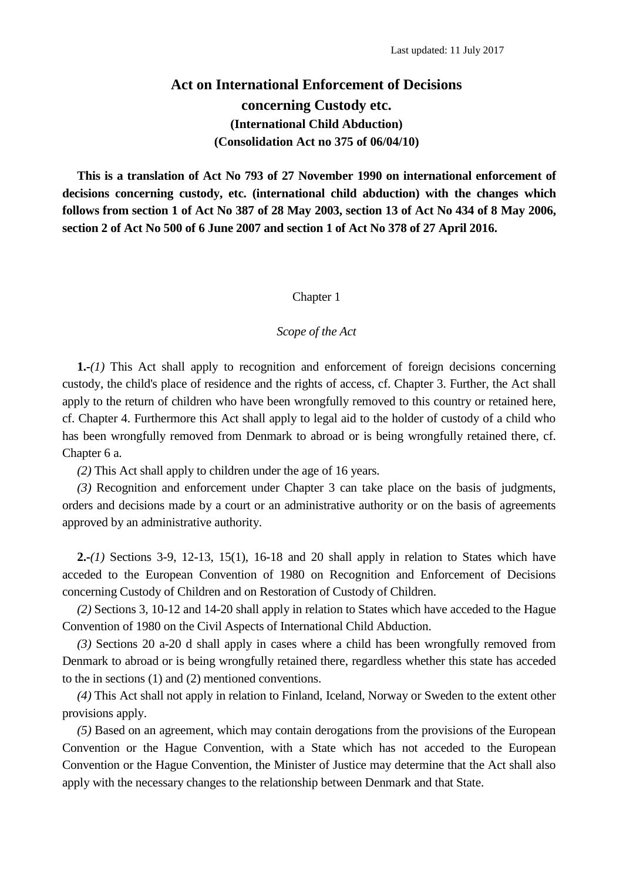# **Act on International Enforcement of Decisions concerning Custody etc. (International Child Abduction) (Consolidation Act no 375 of 06/04/10)**

**This is a translation of Act No 793 of 27 November 1990 on international enforcement of decisions concerning custody, etc. (international child abduction) with the changes which follows from section 1 of Act No 387 of 28 May 2003, section 13 of Act No 434 of 8 May 2006, section 2 of Act No 500 of 6 June 2007 and section 1 of Act No 378 of 27 April 2016.**

# Chapter 1

# *Scope of the Act*

**1.-***(1)* This Act shall apply to recognition and enforcement of foreign decisions concerning custody, the child's place of residence and the rights of access, cf. Chapter 3. Further, the Act shall apply to the return of children who have been wrongfully removed to this country or retained here, cf. Chapter 4. Furthermore this Act shall apply to legal aid to the holder of custody of a child who has been wrongfully removed from Denmark to abroad or is being wrongfully retained there, cf. Chapter 6 a.

*(2)* This Act shall apply to children under the age of 16 years.

*(3)* Recognition and enforcement under Chapter 3 can take place on the basis of judgments, orders and decisions made by a court or an administrative authority or on the basis of agreements approved by an administrative authority.

**2.-***(1)* Sections 3-9, 12-13, 15(1), 16-18 and 20 shall apply in relation to States which have acceded to the European Convention of 1980 on Recognition and Enforcement of Decisions concerning Custody of Children and on Restoration of Custody of Children.

*(2)* Sections 3, 10-12 and 14-20 shall apply in relation to States which have acceded to the Hague Convention of 1980 on the Civil Aspects of International Child Abduction.

*(3)* Sections 20 a-20 d shall apply in cases where a child has been wrongfully removed from Denmark to abroad or is being wrongfully retained there, regardless whether this state has acceded to the in sections (1) and (2) mentioned conventions.

*(4)* This Act shall not apply in relation to Finland, Iceland, Norway or Sweden to the extent other provisions apply.

*(5)* Based on an agreement, which may contain derogations from the provisions of the European Convention or the Hague Convention, with a State which has not acceded to the European Convention or the Hague Convention, the Minister of Justice may determine that the Act shall also apply with the necessary changes to the relationship between Denmark and that State.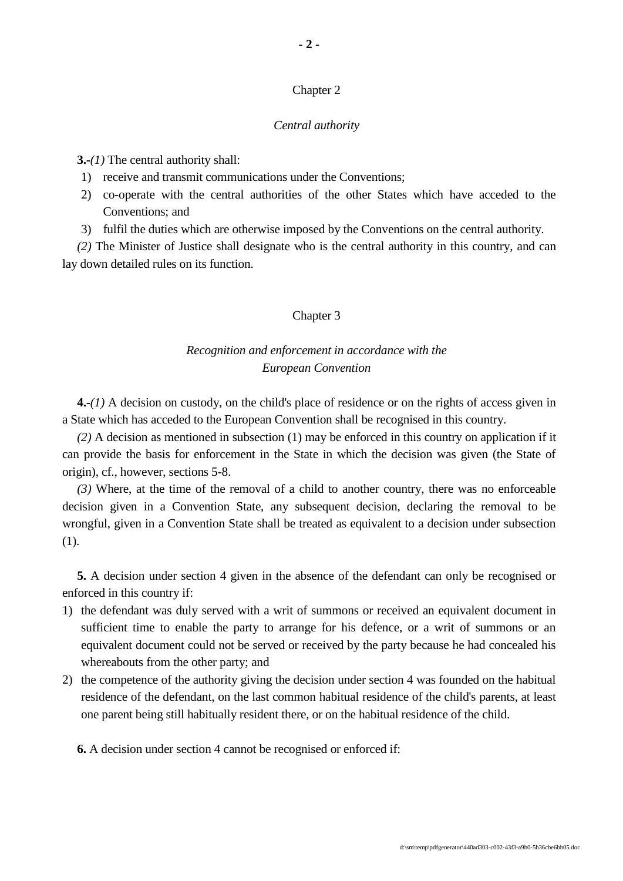# Chapter 2

# *Central authority*

**3.-***(1)* The central authority shall:

- 1) receive and transmit communications under the Conventions;
- 2) co-operate with the central authorities of the other States which have acceded to the Conventions; and
- 3) fulfil the duties which are otherwise imposed by the Conventions on the central authority.

*(2)* The Minister of Justice shall designate who is the central authority in this country, and can lay down detailed rules on its function.

# Chapter 3

# *Recognition and enforcement in accordance with the European Convention*

**4.-***(1)* A decision on custody, on the child's place of residence or on the rights of access given in a State which has acceded to the European Convention shall be recognised in this country.

*(2)* A decision as mentioned in subsection (1) may be enforced in this country on application if it can provide the basis for enforcement in the State in which the decision was given (the State of origin), cf., however, sections 5-8.

*(3)* Where, at the time of the removal of a child to another country, there was no enforceable decision given in a Convention State, any subsequent decision, declaring the removal to be wrongful, given in a Convention State shall be treated as equivalent to a decision under subsection (1).

**5.** A decision under section 4 given in the absence of the defendant can only be recognised or enforced in this country if:

- 1) the defendant was duly served with a writ of summons or received an equivalent document in sufficient time to enable the party to arrange for his defence, or a writ of summons or an equivalent document could not be served or received by the party because he had concealed his whereabouts from the other party; and
- 2) the competence of the authority giving the decision under section 4 was founded on the habitual residence of the defendant, on the last common habitual residence of the child's parents, at least one parent being still habitually resident there, or on the habitual residence of the child.

**6.** A decision under section 4 cannot be recognised or enforced if: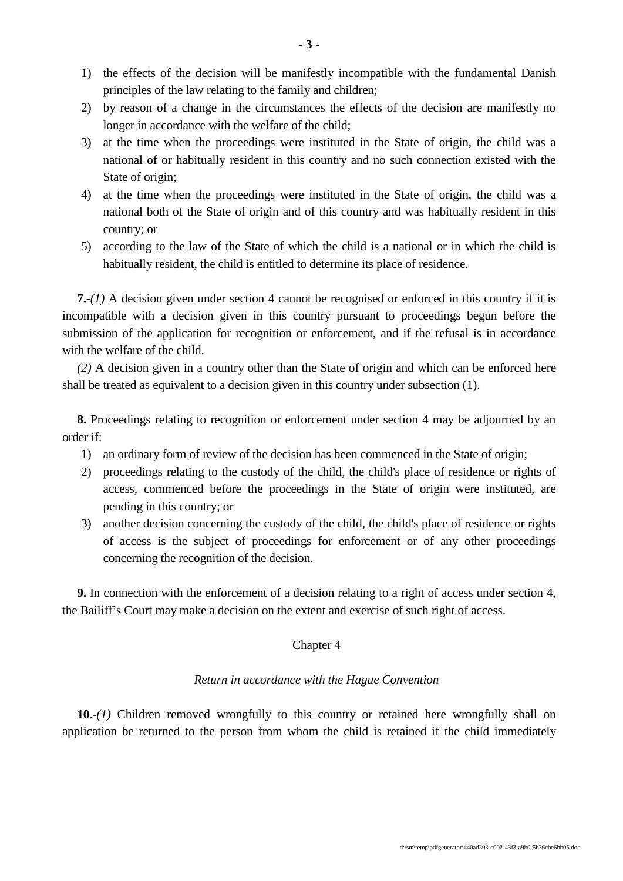- 1) the effects of the decision will be manifestly incompatible with the fundamental Danish principles of the law relating to the family and children;
- 2) by reason of a change in the circumstances the effects of the decision are manifestly no longer in accordance with the welfare of the child;
- 3) at the time when the proceedings were instituted in the State of origin, the child was a national of or habitually resident in this country and no such connection existed with the State of origin;
- 4) at the time when the proceedings were instituted in the State of origin, the child was a national both of the State of origin and of this country and was habitually resident in this country; or
- 5) according to the law of the State of which the child is a national or in which the child is habitually resident, the child is entitled to determine its place of residence.

**7.-***(1)* A decision given under section 4 cannot be recognised or enforced in this country if it is incompatible with a decision given in this country pursuant to proceedings begun before the submission of the application for recognition or enforcement, and if the refusal is in accordance with the welfare of the child.

*(2)* A decision given in a country other than the State of origin and which can be enforced here shall be treated as equivalent to a decision given in this country under subsection (1).

**8.** Proceedings relating to recognition or enforcement under section 4 may be adjourned by an order if:

- 1) an ordinary form of review of the decision has been commenced in the State of origin;
- 2) proceedings relating to the custody of the child, the child's place of residence or rights of access, commenced before the proceedings in the State of origin were instituted, are pending in this country; or
- 3) another decision concerning the custody of the child, the child's place of residence or rights of access is the subject of proceedings for enforcement or of any other proceedings concerning the recognition of the decision.

**9.** In connection with the enforcement of a decision relating to a right of access under section 4, the Bailiff's Court may make a decision on the extent and exercise of such right of access.

# Chapter 4

## *Return in accordance with the Hague Convention*

**10.-***(1)* Children removed wrongfully to this country or retained here wrongfully shall on application be returned to the person from whom the child is retained if the child immediately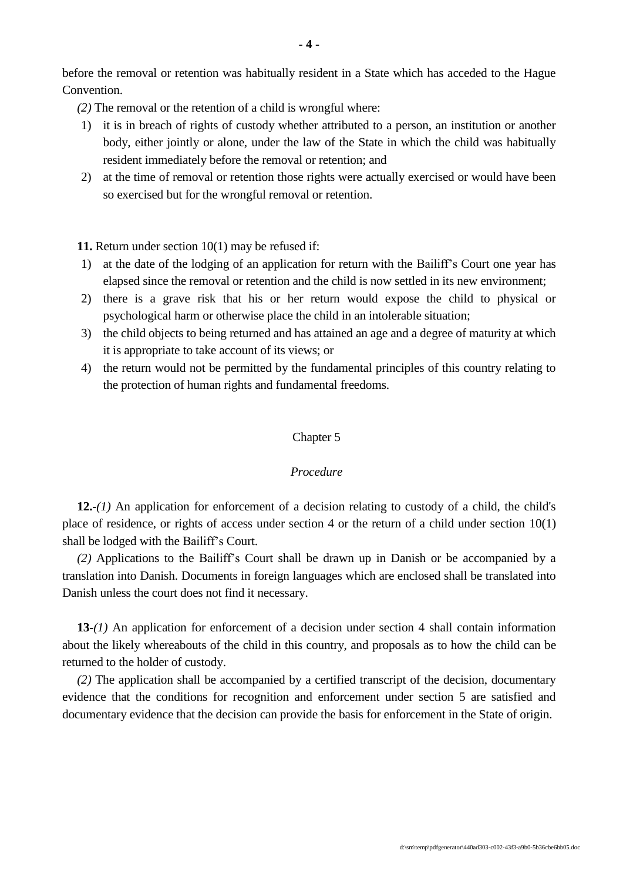before the removal or retention was habitually resident in a State which has acceded to the Hague Convention.

*(2)* The removal or the retention of a child is wrongful where:

- 1) it is in breach of rights of custody whether attributed to a person, an institution or another body, either jointly or alone, under the law of the State in which the child was habitually resident immediately before the removal or retention; and
- 2) at the time of removal or retention those rights were actually exercised or would have been so exercised but for the wrongful removal or retention.

**11.** Return under section 10(1) may be refused if:

- 1) at the date of the lodging of an application for return with the Bailiff's Court one year has elapsed since the removal or retention and the child is now settled in its new environment;
- 2) there is a grave risk that his or her return would expose the child to physical or psychological harm or otherwise place the child in an intolerable situation;
- 3) the child objects to being returned and has attained an age and a degree of maturity at which it is appropriate to take account of its views; or
- 4) the return would not be permitted by the fundamental principles of this country relating to the protection of human rights and fundamental freedoms.

# Chapter 5

#### *Procedure*

**12.-***(1)* An application for enforcement of a decision relating to custody of a child, the child's place of residence, or rights of access under section 4 or the return of a child under section 10(1) shall be lodged with the Bailiff's Court.

*(2)* Applications to the Bailiff's Court shall be drawn up in Danish or be accompanied by a translation into Danish. Documents in foreign languages which are enclosed shall be translated into Danish unless the court does not find it necessary.

**13-***(1)* An application for enforcement of a decision under section 4 shall contain information about the likely whereabouts of the child in this country, and proposals as to how the child can be returned to the holder of custody.

*(2)* The application shall be accompanied by a certified transcript of the decision, documentary evidence that the conditions for recognition and enforcement under section 5 are satisfied and documentary evidence that the decision can provide the basis for enforcement in the State of origin.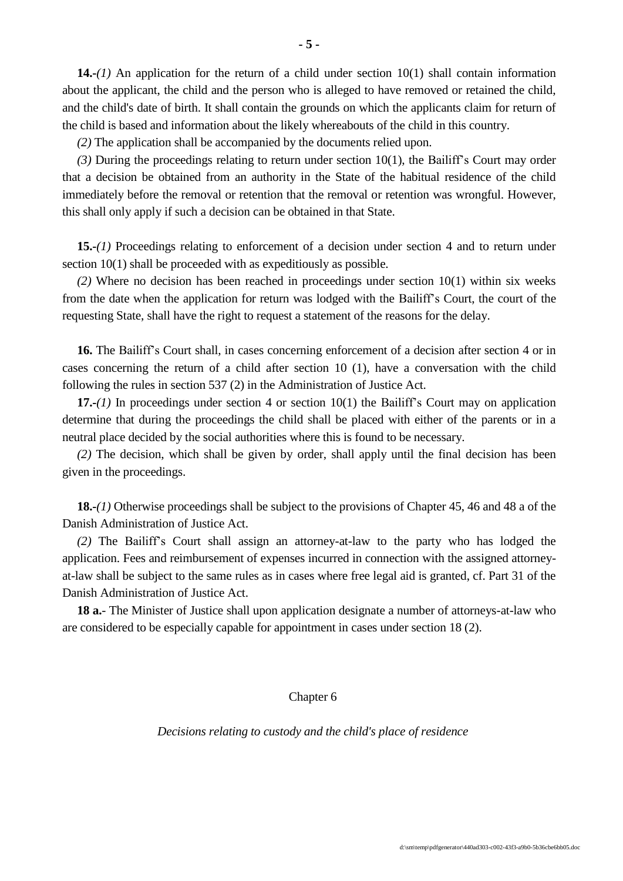**14.-***(1)* An application for the return of a child under section 10(1) shall contain information about the applicant, the child and the person who is alleged to have removed or retained the child, and the child's date of birth. It shall contain the grounds on which the applicants claim for return of the child is based and information about the likely whereabouts of the child in this country.

*(2)* The application shall be accompanied by the documents relied upon.

*(3)* During the proceedings relating to return under section 10(1), the Bailiff's Court may order that a decision be obtained from an authority in the State of the habitual residence of the child immediately before the removal or retention that the removal or retention was wrongful. However, this shall only apply if such a decision can be obtained in that State.

**15.-***(1)* Proceedings relating to enforcement of a decision under section 4 and to return under section 10(1) shall be proceeded with as expeditiously as possible.

*(2)* Where no decision has been reached in proceedings under section 10(1) within six weeks from the date when the application for return was lodged with the Bailiff's Court, the court of the requesting State, shall have the right to request a statement of the reasons for the delay.

**16.** The Bailiff's Court shall, in cases concerning enforcement of a decision after section 4 or in cases concerning the return of a child after section 10 (1), have a conversation with the child following the rules in section 537 (2) in the Administration of Justice Act.

**17.-***(1)* In proceedings under section 4 or section 10(1) the Bailiff's Court may on application determine that during the proceedings the child shall be placed with either of the parents or in a neutral place decided by the social authorities where this is found to be necessary.

*(2)* The decision, which shall be given by order, shall apply until the final decision has been given in the proceedings.

**18.-***(1)* Otherwise proceedings shall be subject to the provisions of Chapter 45, 46 and 48 a of the Danish Administration of Justice Act.

*(2)* The Bailiff's Court shall assign an attorney-at-law to the party who has lodged the application. Fees and reimbursement of expenses incurred in connection with the assigned attorneyat-law shall be subject to the same rules as in cases where free legal aid is granted, cf. Part 31 of the Danish Administration of Justice Act.

**18 a.**- The Minister of Justice shall upon application designate a number of attorneys-at-law who are considered to be especially capable for appointment in cases under section 18 (2).

Chapter 6

*Decisions relating to custody and the child's place of residence*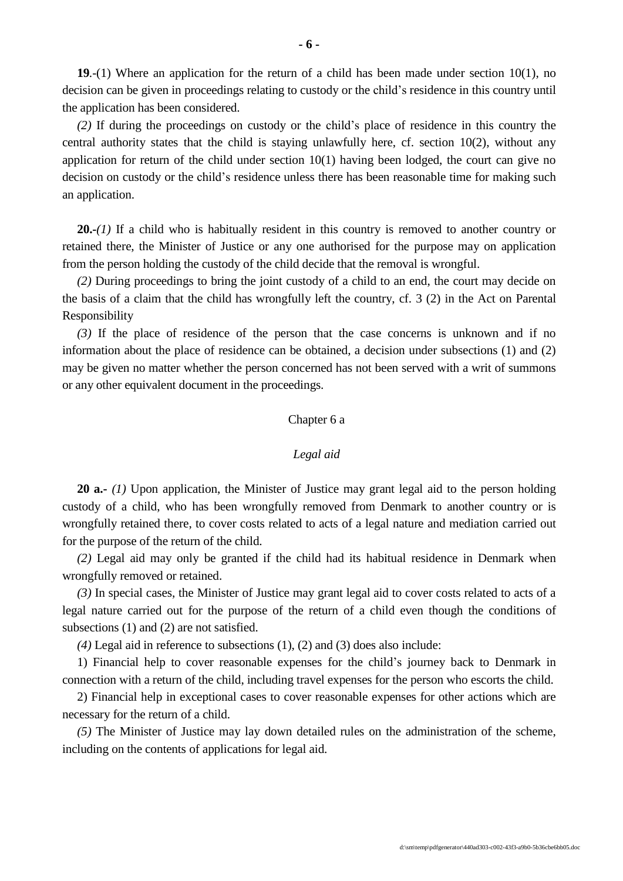**19***.-*(1) Where an application for the return of a child has been made under section 10(1), no decision can be given in proceedings relating to custody or the child's residence in this country until the application has been considered.

*(2)* If during the proceedings on custody or the child's place of residence in this country the central authority states that the child is staying unlawfully here, cf. section 10(2), without any application for return of the child under section 10(1) having been lodged, the court can give no decision on custody or the child's residence unless there has been reasonable time for making such an application.

**20.-***(1)* If a child who is habitually resident in this country is removed to another country or retained there, the Minister of Justice or any one authorised for the purpose may on application from the person holding the custody of the child decide that the removal is wrongful.

*(2)* During proceedings to bring the joint custody of a child to an end, the court may decide on the basis of a claim that the child has wrongfully left the country, cf. 3 (2) in the Act on Parental Responsibility

*(3)* If the place of residence of the person that the case concerns is unknown and if no information about the place of residence can be obtained, a decision under subsections (1) and (2) may be given no matter whether the person concerned has not been served with a writ of summons or any other equivalent document in the proceedings.

# Chapter 6 a

## *Legal aid*

**20 a.-** *(1)* Upon application, the Minister of Justice may grant legal aid to the person holding custody of a child, who has been wrongfully removed from Denmark to another country or is wrongfully retained there, to cover costs related to acts of a legal nature and mediation carried out for the purpose of the return of the child.

*(2)* Legal aid may only be granted if the child had its habitual residence in Denmark when wrongfully removed or retained.

*(3)* In special cases, the Minister of Justice may grant legal aid to cover costs related to acts of a legal nature carried out for the purpose of the return of a child even though the conditions of subsections (1) and (2) are not satisfied.

*(4)* Legal aid in reference to subsections (1), (2) and (3) does also include:

1) Financial help to cover reasonable expenses for the child's journey back to Denmark in connection with a return of the child, including travel expenses for the person who escorts the child.

2) Financial help in exceptional cases to cover reasonable expenses for other actions which are necessary for the return of a child.

*(5)* The Minister of Justice may lay down detailed rules on the administration of the scheme, including on the contents of applications for legal aid.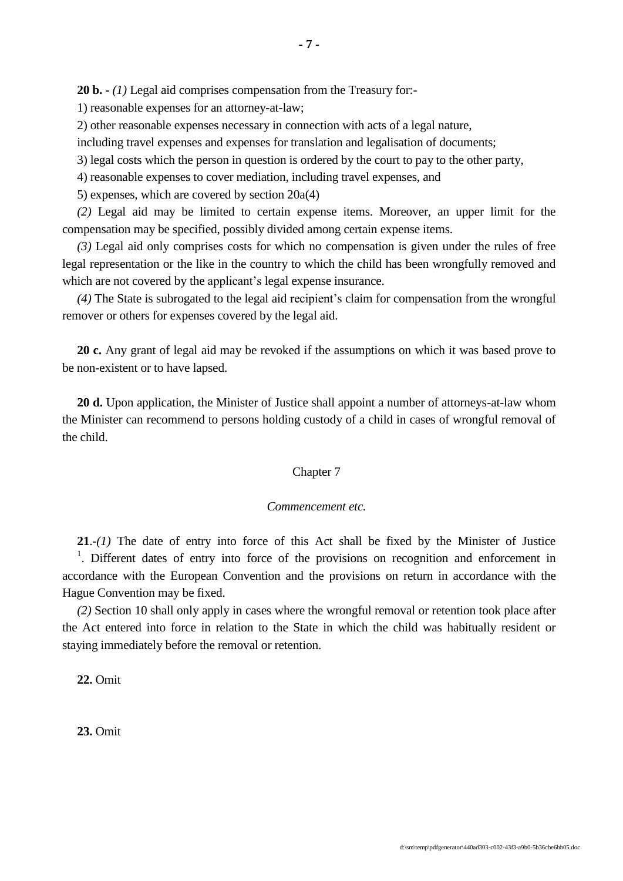1) reasonable expenses for an attorney-at-law;

2) other reasonable expenses necessary in connection with acts of a legal nature,

including travel expenses and expenses for translation and legalisation of documents;

3) legal costs which the person in question is ordered by the court to pay to the other party,

4) reasonable expenses to cover mediation, including travel expenses, and

5) expenses, which are covered by section 20a(4)

*(2)* Legal aid may be limited to certain expense items. Moreover, an upper limit for the compensation may be specified, possibly divided among certain expense items.

*(3)* Legal aid only comprises costs for which no compensation is given under the rules of free legal representation or the like in the country to which the child has been wrongfully removed and which are not covered by the applicant's legal expense insurance.

*(4)* The State is subrogated to the legal aid recipient's claim for compensation from the wrongful remover or others for expenses covered by the legal aid.

**20 c.** Any grant of legal aid may be revoked if the assumptions on which it was based prove to be non-existent or to have lapsed.

**20 d.** Upon application, the Minister of Justice shall appoint a number of attorneys-at-law whom the Minister can recommend to persons holding custody of a child in cases of wrongful removal of the child.

# Chapter 7

#### *Commencement etc.*

**21**.-*(1)* The date of entry into force of this Act shall be fixed by the Minister of Justice <sup>1</sup>. Different dates of entry into force of the provisions on recognition and enforcement in accordance with the European Convention and the provisions on return in accordance with the Hague Convention may be fixed.

*(2)* Section 10 shall only apply in cases where the wrongful removal or retention took place after the Act entered into force in relation to the State in which the child was habitually resident or staying immediately before the removal or retention.

**22.** Omit

**23.** Omit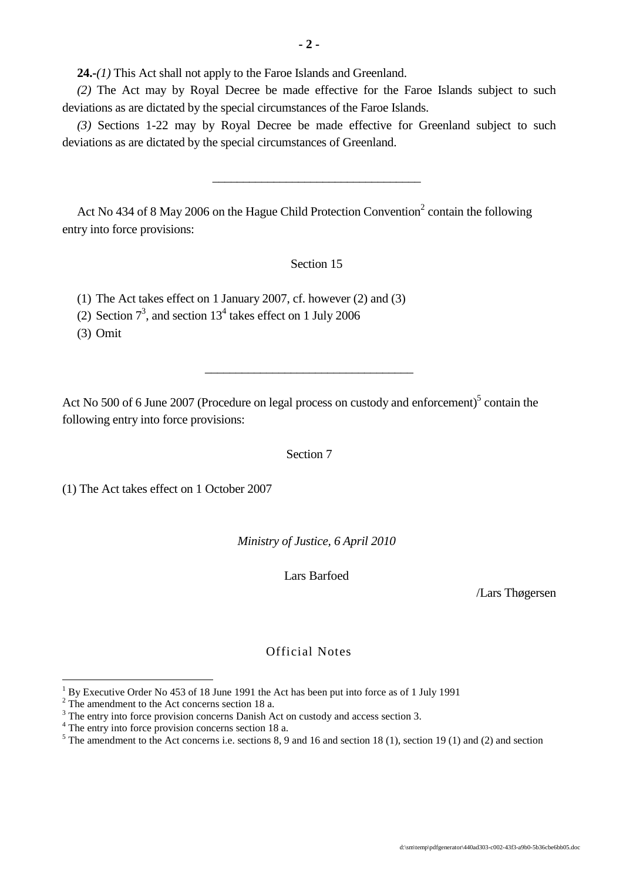**24.-***(1)* This Act shall not apply to the Faroe Islands and Greenland.

*(2)* The Act may by Royal Decree be made effective for the Faroe Islands subject to such deviations as are dictated by the special circumstances of the Faroe Islands.

*(3)* Sections 1-22 may by Royal Decree be made effective for Greenland subject to such deviations as are dictated by the special circumstances of Greenland.

\_\_\_\_\_\_\_\_\_\_\_\_\_\_\_\_\_\_\_\_\_\_\_\_\_\_\_\_\_\_\_\_\_\_

Act No 434 of 8 May 2006 on the Hague Child Protection Convention<sup>2</sup> contain the following entry into force provisions:

Section 15

(1) The Act takes effect on 1 January 2007, cf. however (2) and (3)

(2) Section  $7^3$ , and section  $13^4$  takes effect on 1 July 2006

(3) Omit

 $\overline{a}$ 

Act No 500 of 6 June 2007 (Procedure on legal process on custody and enforcement)<sup>5</sup> contain the following entry into force provisions:

\_\_\_\_\_\_\_\_\_\_\_\_\_\_\_\_\_\_\_\_\_\_\_\_\_\_\_\_\_\_\_\_\_\_

Section 7

(1) The Act takes effect on 1 October 2007

*Ministry of Justice, 6 April 2010*

Lars Barfoed

/Lars Thøgersen

# Official Notes

 $1$  By Executive Order No 453 of 18 June 1991 the Act has been put into force as of 1 July 1991

 $2^{\circ}$  The amendment to the Act concerns section 18 a.

<sup>&</sup>lt;sup>3</sup> The entry into force provision concerns Danish Act on custody and access section 3.

<sup>&</sup>lt;sup>4</sup> The entry into force provision concerns section 18 a.

 $5$  The amendment to the Act concerns i.e. sections 8, 9 and 16 and section 18 (1), section 19 (1) and (2) and section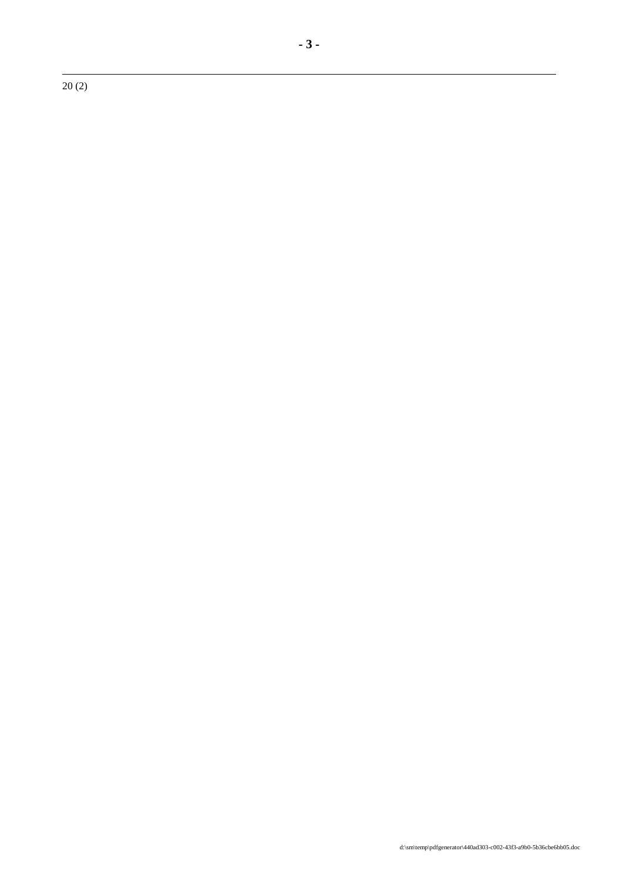20 (2)

 $\overline{a}$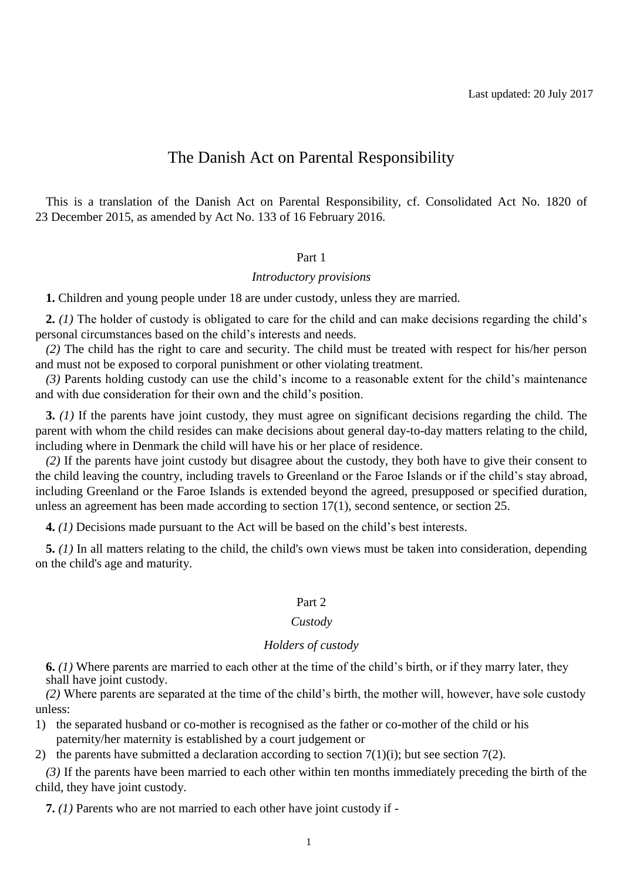# The Danish Act on Parental Responsibility

This is a translation of the Danish Act on Parental Responsibility, cf. Consolidated Act No. 1820 of 23 December 2015, as amended by Act No. 133 of 16 February 2016.

#### Part 1

# *Introductory provisions*

**1.** Children and young people under 18 are under custody, unless they are married.

**2.** *(1)* The holder of custody is obligated to care for the child and can make decisions regarding the child's personal circumstances based on the child's interests and needs.

*(2)* The child has the right to care and security. The child must be treated with respect for his/her person and must not be exposed to corporal punishment or other violating treatment.

*(3)* Parents holding custody can use the child's income to a reasonable extent for the child's maintenance and with due consideration for their own and the child's position.

**3.** *(1)* If the parents have joint custody, they must agree on significant decisions regarding the child. The parent with whom the child resides can make decisions about general day-to-day matters relating to the child, including where in Denmark the child will have his or her place of residence.

*(2)* If the parents have joint custody but disagree about the custody, they both have to give their consent to the child leaving the country, including travels to Greenland or the Faroe Islands or if the child's stay abroad, including Greenland or the Faroe Islands is extended beyond the agreed, presupposed or specified duration, unless an agreement has been made according to section 17(1), second sentence, or section 25.

**4.** *(1)* Decisions made pursuant to the Act will be based on the child's best interests.

**5.** *(1)* In all matters relating to the child, the child's own views must be taken into consideration, depending on the child's age and maturity.

# Part 2

#### *Custody*

# *Holders of custody*

**6.** *(1)* Where parents are married to each other at the time of the child's birth, or if they marry later, they shall have joint custody.

*(2)* Where parents are separated at the time of the child's birth, the mother will, however, have sole custody unless:

1) the separated husband or co-mother is recognised as the father or co-mother of the child or his paternity/her maternity is established by a court judgement or

2) the parents have submitted a declaration according to section  $7(1)(i)$ ; but see section  $7(2)$ .

*(3)* If the parents have been married to each other within ten months immediately preceding the birth of the child, they have joint custody.

**7.** *(1)* Parents who are not married to each other have joint custody if -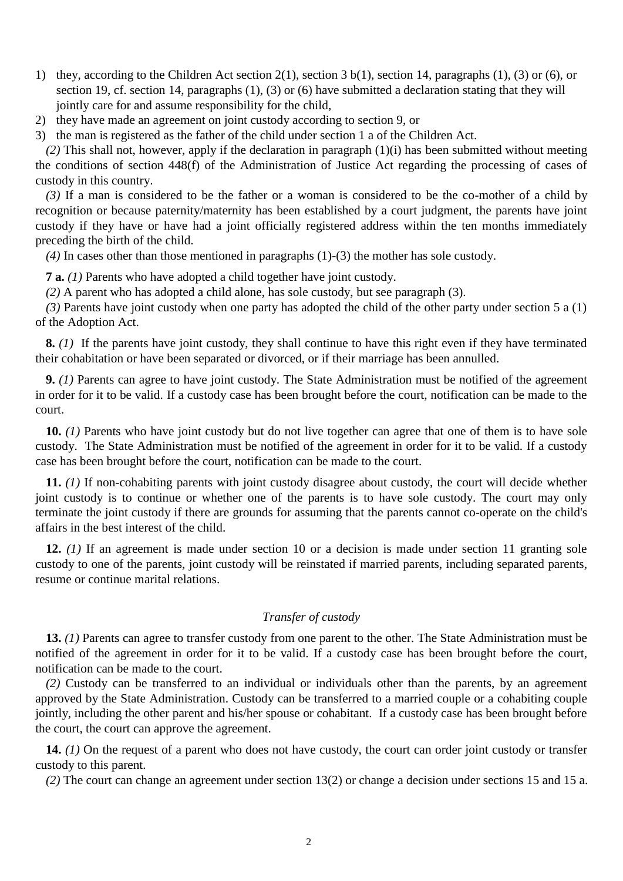- 1) they, according to the Children Act section 2(1), section 3 b(1), section 14, paragraphs (1), (3) or (6), or section 19, cf. section 14, paragraphs (1), (3) or (6) have submitted a declaration stating that they will jointly care for and assume responsibility for the child,
- 2) they have made an agreement on joint custody according to section 9, or
- 3) the man is registered as the father of the child under section 1 a of the Children Act.

*(2)* This shall not, however, apply if the declaration in paragraph (1)(i) has been submitted without meeting the conditions of section 448(f) of the Administration of Justice Act regarding the processing of cases of custody in this country.

*(3)* If a man is considered to be the father or a woman is considered to be the co-mother of a child by recognition or because paternity/maternity has been established by a court judgment, the parents have joint custody if they have or have had a joint officially registered address within the ten months immediately preceding the birth of the child.

*(4)* In cases other than those mentioned in paragraphs (1)-(3) the mother has sole custody.

**7 a.** *(1)* Parents who have adopted a child together have joint custody.

*(2)* A parent who has adopted a child alone, has sole custody, but see paragraph (3).

*(3)* Parents have joint custody when one party has adopted the child of the other party under section 5 a (1) of the Adoption Act.

**8.** *(1)* If the parents have joint custody, they shall continue to have this right even if they have terminated their cohabitation or have been separated or divorced, or if their marriage has been annulled.

**9.** *(1)* Parents can agree to have joint custody. The State Administration must be notified of the agreement in order for it to be valid. If a custody case has been brought before the court, notification can be made to the court.

**10.** *(1)* Parents who have joint custody but do not live together can agree that one of them is to have sole custody. The State Administration must be notified of the agreement in order for it to be valid. If a custody case has been brought before the court, notification can be made to the court.

**11.** *(1)* If non-cohabiting parents with joint custody disagree about custody, the court will decide whether joint custody is to continue or whether one of the parents is to have sole custody. The court may only terminate the joint custody if there are grounds for assuming that the parents cannot co-operate on the child's affairs in the best interest of the child.

**12.** *(1)* If an agreement is made under section 10 or a decision is made under section 11 granting sole custody to one of the parents, joint custody will be reinstated if married parents, including separated parents, resume or continue marital relations.

# *Transfer of custody*

**13.** *(1)* Parents can agree to transfer custody from one parent to the other. The State Administration must be notified of the agreement in order for it to be valid. If a custody case has been brought before the court, notification can be made to the court.

*(2)* Custody can be transferred to an individual or individuals other than the parents, by an agreement approved by the State Administration. Custody can be transferred to a married couple or a cohabiting couple jointly, including the other parent and his/her spouse or cohabitant. If a custody case has been brought before the court, the court can approve the agreement.

**14.** *(1)* On the request of a parent who does not have custody, the court can order joint custody or transfer custody to this parent.

*(2)* The court can change an agreement under section 13(2) or change a decision under sections 15 and 15 a.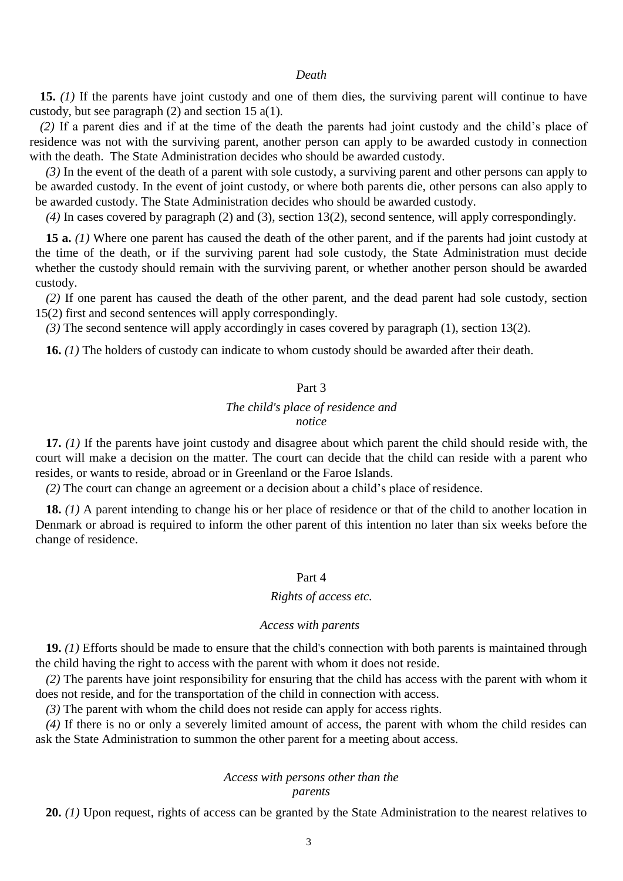#### *Death*

**15.** *(1)* If the parents have joint custody and one of them dies, the surviving parent will continue to have custody, but see paragraph (2) and section 15 a(1).

*(2)* If a parent dies and if at the time of the death the parents had joint custody and the child's place of residence was not with the surviving parent, another person can apply to be awarded custody in connection with the death. The State Administration decides who should be awarded custody.

*(3)* In the event of the death of a parent with sole custody, a surviving parent and other persons can apply to be awarded custody. In the event of joint custody, or where both parents die, other persons can also apply to be awarded custody. The State Administration decides who should be awarded custody.

*(4)* In cases covered by paragraph (2) and (3), section 13(2), second sentence, will apply correspondingly.

**15 a.** *(1)* Where one parent has caused the death of the other parent, and if the parents had joint custody at the time of the death, or if the surviving parent had sole custody, the State Administration must decide whether the custody should remain with the surviving parent, or whether another person should be awarded custody.

*(2)* If one parent has caused the death of the other parent, and the dead parent had sole custody, section 15(2) first and second sentences will apply correspondingly.

*(3)* The second sentence will apply accordingly in cases covered by paragraph (1), section 13(2).

**16.** *(1)* The holders of custody can indicate to whom custody should be awarded after their death.

# Part 3

# *The child's place of residence and notice*

**17.** *(1)* If the parents have joint custody and disagree about which parent the child should reside with, the court will make a decision on the matter. The court can decide that the child can reside with a parent who resides, or wants to reside, abroad or in Greenland or the Faroe Islands.

*(2)* The court can change an agreement or a decision about a child's place of residence.

**18.** *(1)* A parent intending to change his or her place of residence or that of the child to another location in Denmark or abroad is required to inform the other parent of this intention no later than six weeks before the change of residence.

## Part 4

#### *Rights of access etc.*

#### *Access with parents*

**19.** *(1)* Efforts should be made to ensure that the child's connection with both parents is maintained through the child having the right to access with the parent with whom it does not reside.

*(2)* The parents have joint responsibility for ensuring that the child has access with the parent with whom it does not reside, and for the transportation of the child in connection with access.

*(3)* The parent with whom the child does not reside can apply for access rights.

*(4)* If there is no or only a severely limited amount of access, the parent with whom the child resides can ask the State Administration to summon the other parent for a meeting about access.

## *Access with persons other than the parents*

**20.** *(1)* Upon request, rights of access can be granted by the State Administration to the nearest relatives to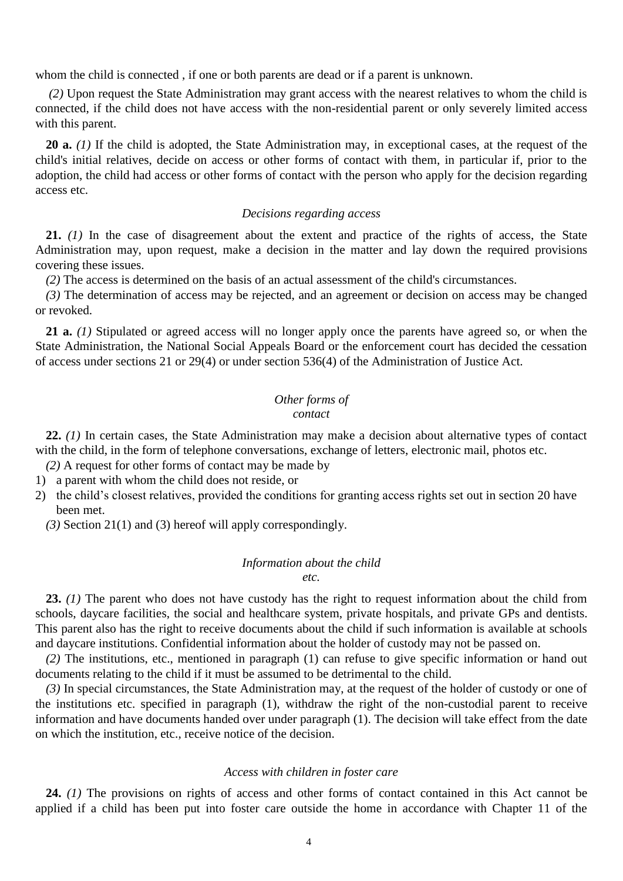whom the child is connected , if one or both parents are dead or if a parent is unknown.

*(2)* Upon request the State Administration may grant access with the nearest relatives to whom the child is connected, if the child does not have access with the non-residential parent or only severely limited access with this parent.

20 a. (1) If the child is adopted, the State Administration may, in exceptional cases, at the request of the child's initial relatives, decide on access or other forms of contact with them, in particular if, prior to the adoption, the child had access or other forms of contact with the person who apply for the decision regarding access etc.

# *Decisions regarding access*

**21.** *(1)* In the case of disagreement about the extent and practice of the rights of access, the State Administration may, upon request, make a decision in the matter and lay down the required provisions covering these issues.

*(2)* The access is determined on the basis of an actual assessment of the child's circumstances.

*(3)* The determination of access may be rejected, and an agreement or decision on access may be changed or revoked.

**21 a.** *(1)* Stipulated or agreed access will no longer apply once the parents have agreed so, or when the State Administration, the National Social Appeals Board or the enforcement court has decided the cessation of access under sections 21 or 29(4) or under section 536(4) of the Administration of Justice Act.

## *Other forms of contact*

**22.** *(1)* In certain cases, the State Administration may make a decision about alternative types of contact with the child, in the form of telephone conversations, exchange of letters, electronic mail, photos etc.

*(2)* A request for other forms of contact may be made by

- 1) a parent with whom the child does not reside, or
- 2) the child's closest relatives, provided the conditions for granting access rights set out in section 20 have been met.
	- *(3)* Section 21(1) and (3) hereof will apply correspondingly.

#### *Information about the child*

*etc.*

**23.** *(1)* The parent who does not have custody has the right to request information about the child from schools, daycare facilities, the social and healthcare system, private hospitals, and private GPs and dentists. This parent also has the right to receive documents about the child if such information is available at schools and daycare institutions. Confidential information about the holder of custody may not be passed on.

*(2)* The institutions, etc., mentioned in paragraph (1) can refuse to give specific information or hand out documents relating to the child if it must be assumed to be detrimental to the child.

*(3)* In special circumstances, the State Administration may, at the request of the holder of custody or one of the institutions etc. specified in paragraph (1), withdraw the right of the non-custodial parent to receive information and have documents handed over under paragraph (1). The decision will take effect from the date on which the institution, etc., receive notice of the decision.

## *Access with children in foster care*

**24.** *(1)* The provisions on rights of access and other forms of contact contained in this Act cannot be applied if a child has been put into foster care outside the home in accordance with Chapter 11 of the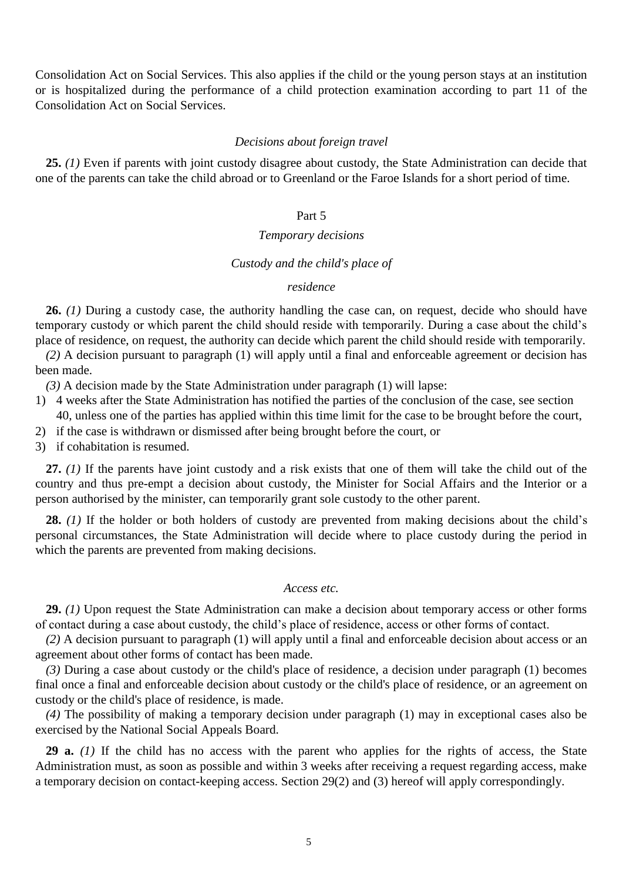Consolidation Act on Social Services. This also applies if the child or the young person stays at an institution or is hospitalized during the performance of a child protection examination according to part 11 of the Consolidation Act on Social Services.

## *Decisions about foreign travel*

**25.** *(1)* Even if parents with joint custody disagree about custody, the State Administration can decide that one of the parents can take the child abroad or to Greenland or the Faroe Islands for a short period of time.

# Part 5

# *Temporary decisions*

# *Custody and the child's place of*

# *residence*

**26.** *(1)* During a custody case, the authority handling the case can, on request, decide who should have temporary custody or which parent the child should reside with temporarily. During a case about the child's place of residence, on request, the authority can decide which parent the child should reside with temporarily.

*(2)* A decision pursuant to paragraph (1) will apply until a final and enforceable agreement or decision has been made.

*(3)* A decision made by the State Administration under paragraph (1) will lapse:

- 1) 4 weeks after the State Administration has notified the parties of the conclusion of the case, see section 40, unless one of the parties has applied within this time limit for the case to be brought before the court,
- 2) if the case is withdrawn or dismissed after being brought before the court, or
- 3) if cohabitation is resumed.

**27.** *(1)* If the parents have joint custody and a risk exists that one of them will take the child out of the country and thus pre-empt a decision about custody, the Minister for Social Affairs and the Interior or a person authorised by the minister, can temporarily grant sole custody to the other parent.

**28.** *(1)* If the holder or both holders of custody are prevented from making decisions about the child's personal circumstances, the State Administration will decide where to place custody during the period in which the parents are prevented from making decisions.

# *Access etc.*

**29.** *(1)* Upon request the State Administration can make a decision about temporary access or other forms of contact during a case about custody, the child's place of residence, access or other forms of contact.

*(2)* A decision pursuant to paragraph (1) will apply until a final and enforceable decision about access or an agreement about other forms of contact has been made.

*(3)* During a case about custody or the child's place of residence, a decision under paragraph (1) becomes final once a final and enforceable decision about custody or the child's place of residence, or an agreement on custody or the child's place of residence, is made.

*(4)* The possibility of making a temporary decision under paragraph (1) may in exceptional cases also be exercised by the National Social Appeals Board.

**29 a.** *(1)* If the child has no access with the parent who applies for the rights of access, the State Administration must, as soon as possible and within 3 weeks after receiving a request regarding access, make a temporary decision on contact-keeping access. Section 29(2) and (3) hereof will apply correspondingly.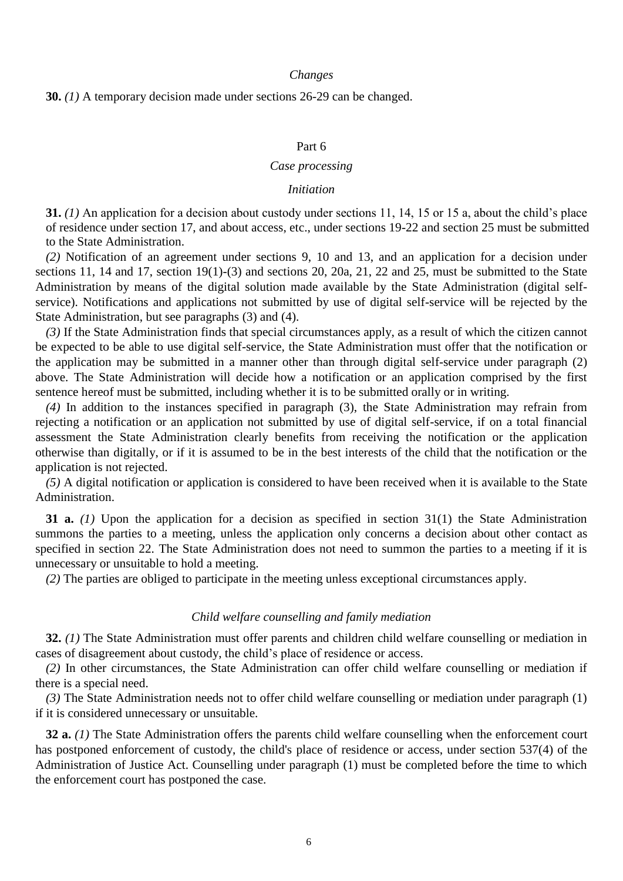#### *Changes*

## **30.** *(1)* A temporary decision made under sections 26-29 can be changed.

## Part 6

# *Case processing*

# *Initiation*

**31.** *(1)* An application for a decision about custody under sections 11, 14, 15 or 15 a, about the child's place of residence under section 17, and about access, etc., under sections 19-22 and section 25 must be submitted to the State Administration.

*(2)* Notification of an agreement under sections 9, 10 and 13, and an application for a decision under sections 11, 14 and 17, section 19(1)-(3) and sections 20, 20a, 21, 22 and 25, must be submitted to the State Administration by means of the digital solution made available by the State Administration (digital selfservice). Notifications and applications not submitted by use of digital self-service will be rejected by the State Administration, but see paragraphs (3) and (4).

*(3)* If the State Administration finds that special circumstances apply, as a result of which the citizen cannot be expected to be able to use digital self-service, the State Administration must offer that the notification or the application may be submitted in a manner other than through digital self-service under paragraph (2) above. The State Administration will decide how a notification or an application comprised by the first sentence hereof must be submitted, including whether it is to be submitted orally or in writing.

*(4)* In addition to the instances specified in paragraph (3), the State Administration may refrain from rejecting a notification or an application not submitted by use of digital self-service, if on a total financial assessment the State Administration clearly benefits from receiving the notification or the application otherwise than digitally, or if it is assumed to be in the best interests of the child that the notification or the application is not rejected.

*(5)* A digital notification or application is considered to have been received when it is available to the State Administration.

**31 a.** *(1)* Upon the application for a decision as specified in section 31(1) the State Administration summons the parties to a meeting, unless the application only concerns a decision about other contact as specified in section 22. The State Administration does not need to summon the parties to a meeting if it is unnecessary or unsuitable to hold a meeting.

*(2)* The parties are obliged to participate in the meeting unless exceptional circumstances apply.

# *Child welfare counselling and family mediation*

**32.** *(1)* The State Administration must offer parents and children child welfare counselling or mediation in cases of disagreement about custody, the child's place of residence or access.

*(2)* In other circumstances, the State Administration can offer child welfare counselling or mediation if there is a special need.

*(3)* The State Administration needs not to offer child welfare counselling or mediation under paragraph (1) if it is considered unnecessary or unsuitable.

**32 a.** (1) The State Administration offers the parents child welfare counselling when the enforcement court has postponed enforcement of custody, the child's place of residence or access, under section 537(4) of the Administration of Justice Act. Counselling under paragraph (1) must be completed before the time to which the enforcement court has postponed the case.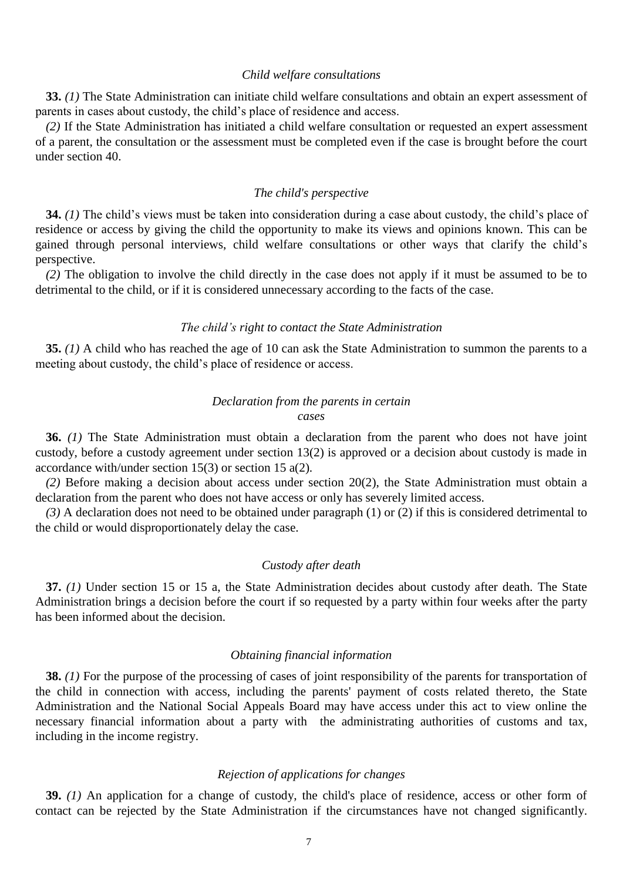# *Child welfare consultations*

**33.** *(1)* The State Administration can initiate child welfare consultations and obtain an expert assessment of parents in cases about custody, the child's place of residence and access.

*(2)* If the State Administration has initiated a child welfare consultation or requested an expert assessment of a parent, the consultation or the assessment must be completed even if the case is brought before the court under section 40.

#### *The child's perspective*

**34.** *(1)* The child's views must be taken into consideration during a case about custody, the child's place of residence or access by giving the child the opportunity to make its views and opinions known. This can be gained through personal interviews, child welfare consultations or other ways that clarify the child's perspective.

*(2)* The obligation to involve the child directly in the case does not apply if it must be assumed to be to detrimental to the child, or if it is considered unnecessary according to the facts of the case.

## *The child's right to contact the State Administration*

**35.** *(1)* A child who has reached the age of 10 can ask the State Administration to summon the parents to a meeting about custody, the child's place of residence or access.

# *Declaration from the parents in certain cases*

**36.** *(1)* The State Administration must obtain a declaration from the parent who does not have joint custody, before a custody agreement under section 13(2) is approved or a decision about custody is made in accordance with/under section 15(3) or section 15 a(2).

*(2)* Before making a decision about access under section 20(2), the State Administration must obtain a declaration from the parent who does not have access or only has severely limited access.

*(3)* A declaration does not need to be obtained under paragraph (1) or (2) if this is considered detrimental to the child or would disproportionately delay the case.

# *Custody after death*

**37.** *(1)* Under section 15 or 15 a, the State Administration decides about custody after death. The State Administration brings a decision before the court if so requested by a party within four weeks after the party has been informed about the decision.

#### *Obtaining financial information*

**38.** *(1)* For the purpose of the processing of cases of joint responsibility of the parents for transportation of the child in connection with access, including the parents' payment of costs related thereto, the State Administration and the National Social Appeals Board may have access under this act to view online the necessary financial information about a party with the administrating authorities of customs and tax, including in the income registry.

# *Rejection of applications for changes*

**39.** *(1)* An application for a change of custody, the child's place of residence, access or other form of contact can be rejected by the State Administration if the circumstances have not changed significantly.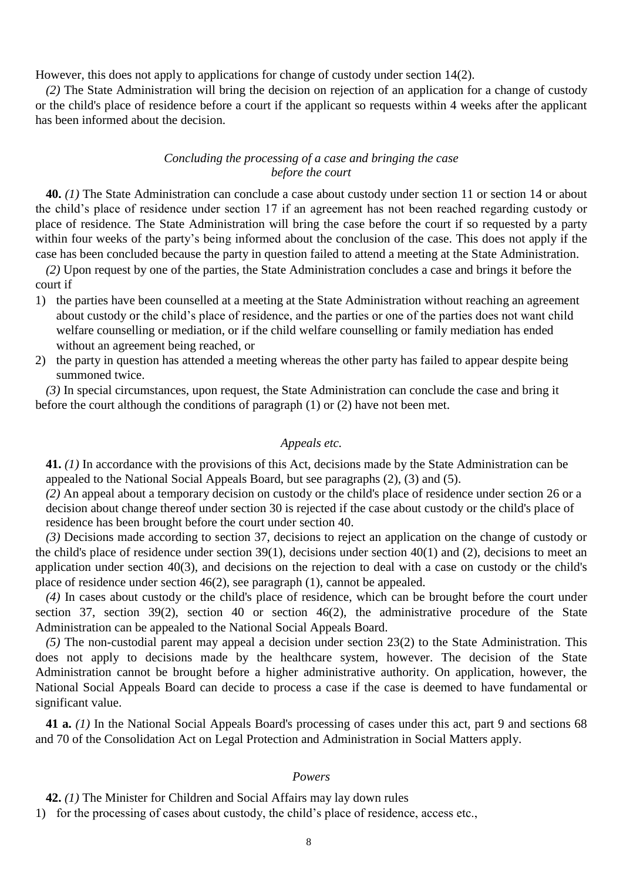However, this does not apply to applications for change of custody under section 14(2).

*(2)* The State Administration will bring the decision on rejection of an application for a change of custody or the child's place of residence before a court if the applicant so requests within 4 weeks after the applicant has been informed about the decision.

# *Concluding the processing of a case and bringing the case before the court*

**40.** *(1)* The State Administration can conclude a case about custody under section 11 or section 14 or about the child's place of residence under section 17 if an agreement has not been reached regarding custody or place of residence. The State Administration will bring the case before the court if so requested by a party within four weeks of the party's being informed about the conclusion of the case. This does not apply if the case has been concluded because the party in question failed to attend a meeting at the State Administration.

*(2)* Upon request by one of the parties, the State Administration concludes a case and brings it before the court if

- 1) the parties have been counselled at a meeting at the State Administration without reaching an agreement about custody or the child's place of residence, and the parties or one of the parties does not want child welfare counselling or mediation, or if the child welfare counselling or family mediation has ended without an agreement being reached, or
- 2) the party in question has attended a meeting whereas the other party has failed to appear despite being summoned twice.

*(3)* In special circumstances, upon request, the State Administration can conclude the case and bring it before the court although the conditions of paragraph (1) or (2) have not been met.

# *Appeals etc.*

**41.** *(1)* In accordance with the provisions of this Act, decisions made by the State Administration can be appealed to the National Social Appeals Board, but see paragraphs (2), (3) and (5).

*(2)* An appeal about a temporary decision on custody or the child's place of residence under section 26 or a decision about change thereof under section 30 is rejected if the case about custody or the child's place of residence has been brought before the court under section 40.

*(3)* Decisions made according to section 37, decisions to reject an application on the change of custody or the child's place of residence under section 39(1), decisions under section 40(1) and (2), decisions to meet an application under section 40(3), and decisions on the rejection to deal with a case on custody or the child's place of residence under section 46(2), see paragraph (1), cannot be appealed.

*(4)* In cases about custody or the child's place of residence, which can be brought before the court under section 37, section 39(2), section 40 or section 46(2), the administrative procedure of the State Administration can be appealed to the National Social Appeals Board.

*(5)* The non-custodial parent may appeal a decision under section 23(2) to the State Administration. This does not apply to decisions made by the healthcare system, however. The decision of the State Administration cannot be brought before a higher administrative authority. On application, however, the National Social Appeals Board can decide to process a case if the case is deemed to have fundamental or significant value.

**41 a.** *(1)* In the National Social Appeals Board's processing of cases under this act, part 9 and sections 68 and 70 of the Consolidation Act on Legal Protection and Administration in Social Matters apply.

# *Powers*

**42.** *(1)* The Minister for Children and Social Affairs may lay down rules

1) for the processing of cases about custody, the child's place of residence, access etc.,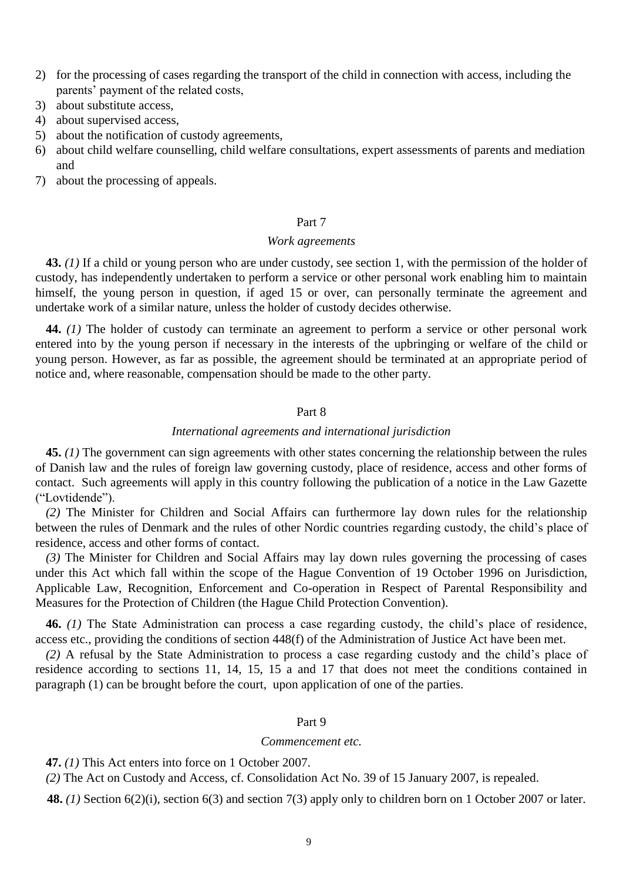- 2) for the processing of cases regarding the transport of the child in connection with access, including the parents' payment of the related costs,
- 3) about substitute access,
- 4) about supervised access,
- 5) about the notification of custody agreements,
- 6) about child welfare counselling, child welfare consultations, expert assessments of parents and mediation and
- 7) about the processing of appeals.

## Part 7

# *Work agreements*

**43.** *(1)* If a child or young person who are under custody, see section 1, with the permission of the holder of custody, has independently undertaken to perform a service or other personal work enabling him to maintain himself, the young person in question, if aged 15 or over, can personally terminate the agreement and undertake work of a similar nature, unless the holder of custody decides otherwise.

**44.** *(1)* The holder of custody can terminate an agreement to perform a service or other personal work entered into by the young person if necessary in the interests of the upbringing or welfare of the child or young person. However, as far as possible, the agreement should be terminated at an appropriate period of notice and, where reasonable, compensation should be made to the other party.

## Part 8

## *International agreements and international jurisdiction*

**45.** *(1)* The government can sign agreements with other states concerning the relationship between the rules of Danish law and the rules of foreign law governing custody, place of residence, access and other forms of contact. Such agreements will apply in this country following the publication of a notice in the Law Gazette ("Lovtidende").

*(2)* The Minister for Children and Social Affairs can furthermore lay down rules for the relationship between the rules of Denmark and the rules of other Nordic countries regarding custody, the child's place of residence, access and other forms of contact.

*(3)* The Minister for Children and Social Affairs may lay down rules governing the processing of cases under this Act which fall within the scope of the Hague Convention of 19 October 1996 on Jurisdiction, Applicable Law, Recognition, Enforcement and Co-operation in Respect of Parental Responsibility and Measures for the Protection of Children (the Hague Child Protection Convention).

**46.** *(1)* The State Administration can process a case regarding custody, the child's place of residence, access etc., providing the conditions of section 448(f) of the Administration of Justice Act have been met.

*(2)* A refusal by the State Administration to process a case regarding custody and the child's place of residence according to sections 11, 14, 15, 15 a and 17 that does not meet the conditions contained in paragraph (1) can be brought before the court, upon application of one of the parties.

## Part 9

#### *Commencement etc.*

**47.** *(1)* This Act enters into force on 1 October 2007.

*(2)* The Act on Custody and Access, cf. Consolidation Act No. 39 of 15 January 2007, is repealed.

**48.** *(1)* Section 6(2)(i), section 6(3) and section 7(3) apply only to children born on 1 October 2007 or later.